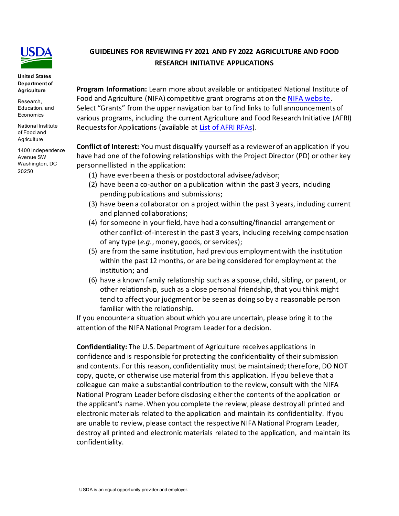

**United States Department of Agriculture**

Research, Education, and **Economics** 

National Institute of Food and **Agriculture** 

1400 Independence Avenue SW Washington, DC 20250

# **GUIDELINES FOR REVIEWING FY 2021 AND FY 2022 AGRICULTURE AND FOOD RESEARCH INITIATIVE APPLICATIONS**

**Program Information:** Learn more about available or anticipated National Institute of Food and Agriculture (NIFA) competitive grant programs at on the [NIFA website.](https://www.nifa.usda.gov/) Select "Grants" from the upper navigation bar to find links to full announcements of various programs, including the current Agriculture and Food Research Initiative (AFRI) Requests for Applications (available at [List of AFRI RFAs\)](https://www.nifa.usda.gov/afri-request-applications).

**Conflict of Interest:** You must disqualify yourself as a reviewer of an application if you have had one of the following relationships with the Project Director (PD) or other key personnel listed in the application:

- (1) have ever been a thesis or postdoctoral advisee/advisor;
- (2) have been a co-author on a publication within the past 3 years, including pending publications and submissions;
- (3) have been a collaborator on a project within the past 3 years, including current and planned collaborations;
- (4) for someone in your field, have had a consulting/financial arrangement or other conflict-of-interest in the past 3 years, including receiving compensation of any type (*e.g.*, money, goods, or services);
- (5) are from the same institution, had previous employment with the institution within the past 12 months, or are being considered for employment at the institution; and
- (6) have a known family relationship such as a spouse, child, sibling, or parent, or other relationship, such as a close personal friendship, that you think might tend to affect your judgment or be seen as doing so by a reasonable person familiar with the relationship.

If you encounter a situation about which you are uncertain, please bring it to the attention of the NIFA National Program Leader for a decision.

**Confidentiality:** The U.S. Department of Agriculture receives applications in confidence and is responsible for protecting the confidentiality of their submission and contents. For this reason, confidentiality must be maintained; therefore, DO NOT copy, quote, or otherwise use material from this application. If you believe that a colleague can make a substantial contribution to the review, consult with the NIFA National Program Leader before disclosing either the contents of the application or the applicant's name. When you complete the review, please destroy all printed and electronic materials related to the application and maintain its confidentiality. If you are unable to review, please contact the respective NIFA National Program Leader, destroy all printed and electronic materials related to the application, and maintain its confidentiality.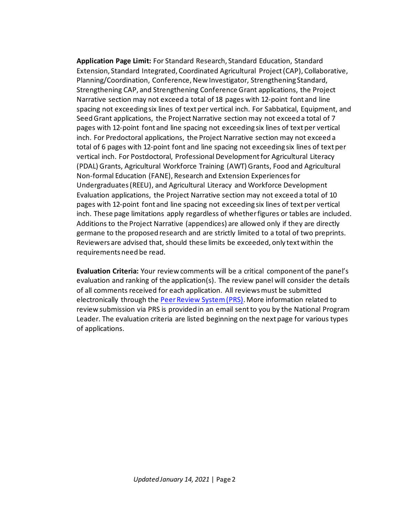**Application Page Limit:** For Standard Research, Standard Education, Standard Extension, Standard Integrated, Coordinated Agricultural Project (CAP), Collaborative, Planning/Coordination, Conference, New Investigator, Strengthening Standard, Strengthening CAP, and Strengthening Conference Grant applications, the Project Narrative section may not exceed a total of 18 pages with 12-point font and line spacing not exceeding six lines of text per vertical inch. For Sabbatical, Equipment, and Seed Grant applications, the Project Narrative section may not exceed a total of 7 pages with 12-point font and line spacing not exceeding six lines of text per vertical inch. For Predoctoral applications, the Project Narrative section may not exceed a total of 6 pages with 12-point font and line spacing not exceeding six lines of text per vertical inch. For Postdoctoral, Professional Development for Agricultural Literacy (PDAL) Grants, Agricultural Workforce Training (AWT) Grants, Food and Agricultural Non-formal Education (FANE), Research and Extension Experiences for Undergraduates (REEU), and Agricultural Literacy and Workforce Development Evaluation applications, the Project Narrative section may not exceed a total of 10 pages with 12-point font and line spacing not exceeding six lines of text per vertical inch. These page limitations apply regardless of whether figures or tables are included. Additions to the Project Narrative (appendices) are allowed only if they are directly germane to the proposed research and are strictly limited to a total of two preprints. Reviewers are advised that, should these limits be exceeded, only text within the requirements need be read.

**Evaluation Criteria:** Your review comments will be a critical component of the panel's evaluation and ranking of the application(s). The review panel will consider the details of all comments received for each application. All reviews must be submitted electronically through the [Peer Review System \(PRS\).](https://prs.nifa.usda.gov/) More information related to review submission via PRS is provided in an email sent to you by the National Program Leader. The evaluation criteria are listed beginning on the next page for various types of applications.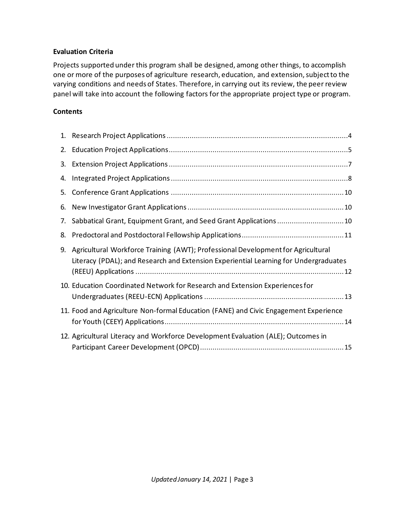#### **Evaluation Criteria**

Projects supported under this program shall be designed, among other things, to accomplish one or more of the purposes of agriculture research, education, and extension, subject to the varying conditions and needs of States. Therefore, in carrying out its review, the peer review panel will take into account the following factors for the appropriate project type or program.

#### **Contents**

<span id="page-2-0"></span>

| 3. |                                                                                                                                                                          |
|----|--------------------------------------------------------------------------------------------------------------------------------------------------------------------------|
| 4. |                                                                                                                                                                          |
| 5. |                                                                                                                                                                          |
|    |                                                                                                                                                                          |
| 7. | Sabbatical Grant, Equipment Grant, and Seed Grant Applications  10                                                                                                       |
| 8. |                                                                                                                                                                          |
| 9. | Agricultural Workforce Training (AWT); Professional Development for Agricultural<br>Literacy (PDAL); and Research and Extension Experiential Learning for Undergraduates |
|    | 10. Education Coordinated Network for Research and Extension Experiences for                                                                                             |
|    | 11. Food and Agriculture Non-formal Education (FANE) and Civic Engagement Experience                                                                                     |
|    | 12. Agricultural Literacy and Workforce Development Evaluation (ALE); Outcomes in                                                                                        |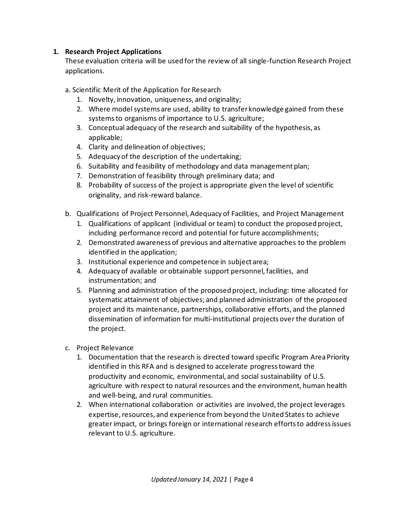#### **1. Research Project Applications**

These evaluation criteria will be used for the review of all single-function Research Project applications.

- a. Scientific Merit of the Application for Research
	- 1. Novelty, innovation, uniqueness, and originality;
	- 2. Where model systems are used, ability to transfer knowledge gained from these systems to organisms of importance to U.S. agriculture;
	- 3. Conceptual adequacy of the research and suitability of the hypothesis, as applicable;
	- 4. Clarity and delineation of objectives;
	- 5. Adequacy of the description of the undertaking;
	- 6. Suitability and feasibility of methodology and data management plan;
	- 7. Demonstration of feasibility through preliminary data; and
	- 8. Probability of success of the project is appropriate given the level of scientific originality, and risk-reward balance.
- b. Qualifications of Project Personnel, Adequacy of Facilities, and Project Management
	- 1. Qualifications of applicant (individual or team) to conduct the proposed project, including performance record and potential for future accomplishments;
	- 2. Demonstrated awareness of previous and alternative approaches to the problem identified in the application;
	- 3. Institutional experience and competence in subject area;
	- 4. Adequacy of available or obtainable support personnel, facilities, and instrumentation; and
	- 5. Planning and administration of the proposed project, including: time allocated for systematic attainment of objectives; and planned administration of the proposed project and its maintenance, partnerships, collaborative efforts, and the planned dissemination of information for multi-institutional projects over the duration of the project.
- c. Project Relevance
	- 1. Documentation that the research is directed toward specific Program Area Priority identified in this RFA and is designed to accelerate progress toward the productivity and economic, environmental, and social sustainability of U.S. agriculture with respect to natural resources and the environment, human health and well-being, and rural communities.
	- 2. When international collaboration or activities are involved, the project leverages expertise, resources, and experience from beyond the United States to achieve greater impact, or brings foreign or international research efforts to address issues relevant to U.S. agriculture.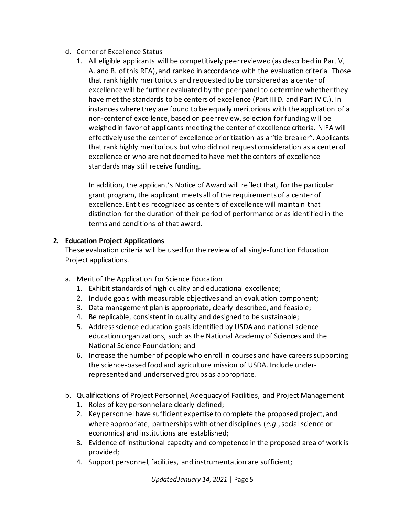- d. Center of Excellence Status
	- 1. All eligible applicants will be competitively peer reviewed (as described in Part V, A. and B. of this RFA), and ranked in accordance with the evaluation criteria. Those that rank highly meritorious and requested to be considered as a center of excellence will be further evaluated by the peer panel to determine whether they have met the standards to be centers of excellence (Part III D. and Part IV C.). In instances where they are found to be equally meritorious with the application of a non-center of excellence, based on peer review, selection for funding will be weighed in favor of applicants meeting the center of excellence criteria. NIFA will effectively use the center of excellence prioritization as a "tie breaker". Applicants that rank highly meritorious but who did not request consideration as a center of excellence or who are not deemed to have met the centers of excellence standards may still receive funding.

In addition, the applicant's Notice of Award will reflect that, for the particular grant program, the applicant meets all of the requirements of a center of excellence. Entities recognized as centers of excellence will maintain that distinction for the duration of their period of performance or as identified in the terms and conditions of that award.

# <span id="page-4-0"></span>**2. Education Project Applications**

These evaluation criteria will be used for the review of all single-function Education Project applications.

- a. Merit of the Application for Science Education
	- 1. Exhibit standards of high quality and educational excellence;
	- 2. Include goals with measurable objectives and an evaluation component;
	- 3. Data management plan is appropriate, clearly described, and feasible;
	- 4. Be replicable, consistent in quality and designed to be sustainable;
	- 5. Address science education goals identified by USDA and national science education organizations, such as the National Academy of Sciences and the National Science Foundation; and
	- 6. Increase the number of people who enroll in courses and have careers supporting the science-based food and agriculture mission of USDA. Include underrepresented and underserved groups as appropriate.
- b. Qualifications of Project Personnel, Adequacy of Facilities, and Project Management
	- 1. Roles of key personnel are clearly defined;
	- 2. Key personnel have sufficient expertise to complete the proposed project, and where appropriate, partnerships with other disciplines (*e.g.*, social science or economics) and institutions are established;
	- 3. Evidence of institutional capacity and competence in the proposed area of work is provided;
	- 4. Support personnel, facilities, and instrumentation are sufficient;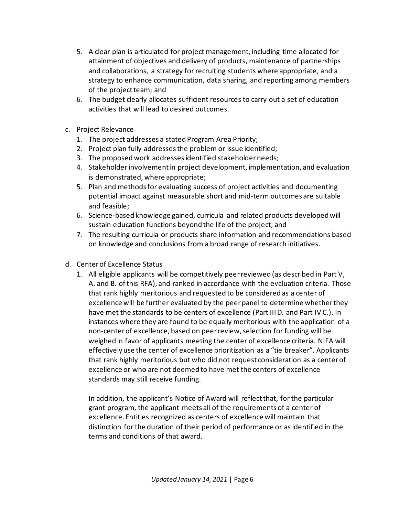- 5. A clear plan is articulated for project management, including time allocated for attainment of objectives and delivery of products, maintenance of partnerships and collaborations, a strategy for recruiting students where appropriate, and a strategy to enhance communication, data sharing, and reporting among members of the project team; and
- 6. The budget clearly allocates sufficient resources to carry out a set of education activities that will lead to desired outcomes.
- c. Project Relevance
	- 1. The project addresses a stated Program Area Priority;
	- 2. Project plan fully addresses the problem or issue identified;
	- 3. The proposed work addresses identified stakeholder needs;
	- 4. Stakeholder involvement in project development, implementation, and evaluation is demonstrated, where appropriate;
	- 5. Plan and methods for evaluating success of project activities and documenting potential impact against measurable short and mid-term outcomes are suitable and feasible;
	- 6. Science-based knowledge gained, curricula and related products developed will sustain education functions beyond the life of the project; and
	- 7. The resulting curricula or products share information and recommendations based on knowledge and conclusions from a broad range of research initiatives.
- d. Center of Excellence Status
	- 1. All eligible applicants will be competitively peer reviewed (as described in Part V, A. and B. of this RFA), and ranked in accordance with the evaluation criteria. Those that rank highly meritorious and requested to be considered as a center of excellence will be further evaluated by the peer panel to determine whether they have met the standards to be centers of excellence (Part III D. and Part IV C.). In instances where they are found to be equally meritorious with the application of a non-center of excellence, based on peer review, selection for funding will be weighed in favor of applicants meeting the center of excellence criteria. NIFA will effectively use the center of excellence prioritization as a "tie breaker". Applicants that rank highly meritorious but who did not request consideration as a center of excellence or who are not deemed to have met the centers of excellence standards may still receive funding.

In addition, the applicant's Notice of Award will reflect that, for the particular grant program, the applicant meets all of the requirements of a center of excellence. Entities recognized as centers of excellence will maintain that distinction for the duration of their period of performance or as identified in the terms and conditions of that award.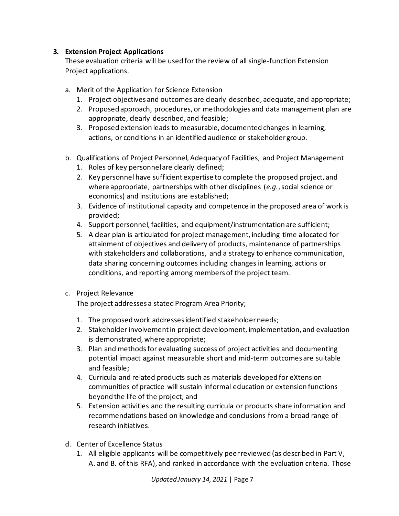## <span id="page-6-0"></span>**3. Extension Project Applications**

These evaluation criteria will be used for the review of all single-function Extension Project applications.

- a. Merit of the Application for Science Extension
	- 1. Project objectives and outcomes are clearly described, adequate, and appropriate;
	- 2. Proposed approach, procedures, or methodologies and data management plan are appropriate, clearly described, and feasible;
	- 3. Proposed extension leads to measurable, documented changes in learning, actions, or conditions in an identified audience or stakeholder group.
- b. Qualifications of Project Personnel, Adequacy of Facilities, and Project Management
	- 1. Roles of key personnel are clearly defined;
	- 2. Key personnel have sufficient expertise to complete the proposed project, and where appropriate, partnerships with other disciplines (*e.g.*, social science or economics) and institutions are established;
	- 3. Evidence of institutional capacity and competence in the proposed area of work is provided;
	- 4. Support personnel, facilities, and equipment/instrumentation are sufficient;
	- 5. A clear plan is articulated for project management, including time allocated for attainment of objectives and delivery of products, maintenance of partnerships with stakeholders and collaborations, and a strategy to enhance communication, data sharing concerning outcomes including changes in learning, actions or conditions, and reporting among members of the project team.
- c. Project Relevance

The project addresses a stated Program Area Priority;

- 1. The proposed work addresses identified stakeholder needs;
- 2. Stakeholder involvement in project development, implementation, and evaluation is demonstrated, where appropriate;
- 3. Plan and methods for evaluating success of project activities and documenting potential impact against measurable short and mid-term outcomes are suitable and feasible;
- 4. Curricula and related products such as materials developed for eXtension communities of practice will sustain informal education or extension functions beyond the life of the project; and
- 5. Extension activities and the resulting curricula or products share information and recommendations based on knowledge and conclusions from a broad range of research initiatives.
- d. Center of Excellence Status
	- 1. All eligible applicants will be competitively peer reviewed (as described in Part V, A. and B. of this RFA), and ranked in accordance with the evaluation criteria. Those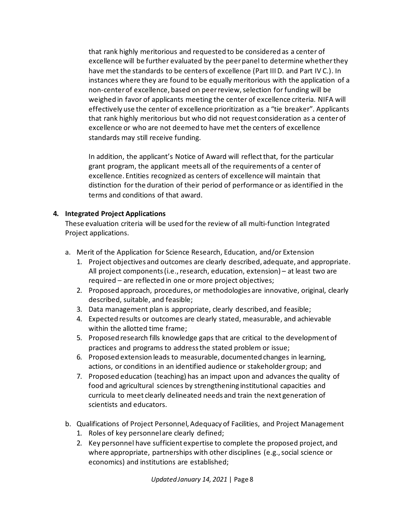that rank highly meritorious and requested to be considered as a center of excellence will be further evaluated by the peer panel to determine whether they have met the standards to be centers of excellence (Part III D. and Part IV C.). In instances where they are found to be equally meritorious with the application of a non-center of excellence, based on peer review, selection for funding will be weighed in favor of applicants meeting the center of excellence criteria. NIFA will effectively use the center of excellence prioritization as a "tie breaker". Applicants that rank highly meritorious but who did not request consideration as a center of excellence or who are not deemed to have met the centers of excellence standards may still receive funding.

In addition, the applicant's Notice of Award will reflect that, for the particular grant program, the applicant meets all of the requirements of a center of excellence. Entities recognized as centers of excellence will maintain that distinction for the duration of their period of performance or as identified in the terms and conditions of that award.

#### <span id="page-7-0"></span>**4. Integrated Project Applications**

These evaluation criteria will be used for the review of all multi-function Integrated Project applications.

- a. Merit of the Application for Science Research, Education, and/or Extension
	- 1. Project objectives and outcomes are clearly described, adequate, and appropriate. All project components (i.e., research, education, extension) – at least two are required – are reflected in one or more project objectives;
	- 2. Proposed approach, procedures, or methodologies are innovative, original, clearly described, suitable, and feasible;
	- 3. Data management plan is appropriate, clearly described, and feasible;
	- 4. Expected results or outcomes are clearly stated, measurable, and achievable within the allotted time frame;
	- 5. Proposed research fills knowledge gaps that are critical to the development of practices and programs to address the stated problem or issue;
	- 6. Proposed extension leads to measurable, documented changes in learning, actions, or conditions in an identified audience or stakeholder group; and
	- 7. Proposed education (teaching) has an impact upon and advances the quality of food and agricultural sciences by strengthening institutional capacities and curricula to meet clearly delineated needs and train the next generation of scientists and educators.
- b. Qualifications of Project Personnel, Adequacy of Facilities, and Project Management
	- 1. Roles of key personnel are clearly defined;
	- 2. Key personnel have sufficient expertise to complete the proposed project, and where appropriate, partnerships with other disciplines (e.g., social science or economics) and institutions are established;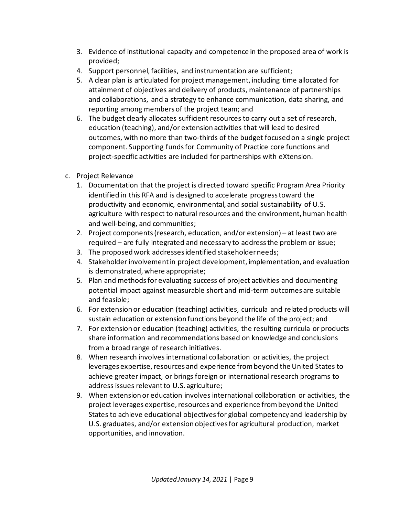- 3. Evidence of institutional capacity and competence in the proposed area of work is provided;
- 4. Support personnel, facilities, and instrumentation are sufficient;
- 5. A clear plan is articulated for project management, including time allocated for attainment of objectives and delivery of products, maintenance of partnerships and collaborations, and a strategy to enhance communication, data sharing, and reporting among members of the project team; and
- 6. The budget clearly allocates sufficient resources to carry out a set of research, education (teaching), and/or extension activities that will lead to desired outcomes, with no more than two-thirds of the budget focused on a single project component. Supporting funds for Community of Practice core functions and project-specific activities are included for partnerships with eXtension.
- c. Project Relevance
	- 1. Documentation that the project is directed toward specific Program Area Priority identified in this RFA and is designed to accelerate progress toward the productivity and economic, environmental, and social sustainability of U.S. agriculture with respect to natural resources and the environment, human health and well-being, and communities;
	- 2. Project components (research, education, and/or extension) at least two are required – are fully integrated and necessary to address the problem or issue;
	- 3. The proposed work addresses identified stakeholder needs;
	- 4. Stakeholder involvement in project development, implementation, and evaluation is demonstrated, where appropriate;
	- 5. Plan and methods for evaluating success of project activities and documenting potential impact against measurable short and mid-term outcomes are suitable and feasible;
	- 6. For extension or education (teaching) activities, curricula and related products will sustain education or extension functions beyond the life of the project; and
	- 7. For extension or education (teaching) activities, the resulting curricula or products share information and recommendations based on knowledge and conclusions from a broad range of research initiatives.
	- 8. When research involves international collaboration or activities, the project leverages expertise, resources and experience from beyond the United States to achieve greater impact, or brings foreign or international research programs to address issues relevant to U.S. agriculture;
	- 9. When extension or education involves international collaboration or activities, the project leverages expertise, resources and experience from beyond the United States to achieve educational objectives for global competency and leadership by U.S. graduates, and/or extension objectives for agricultural production, market opportunities, and innovation.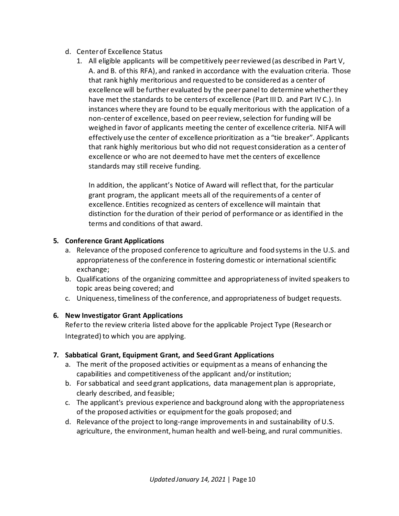- d. Center of Excellence Status
	- 1. All eligible applicants will be competitively peer reviewed (as described in Part V, A. and B. of this RFA), and ranked in accordance with the evaluation criteria. Those that rank highly meritorious and requested to be considered as a center of excellence will be further evaluated by the peer panel to determine whether they have met the standards to be centers of excellence (Part III D. and Part IV C.). In instances where they are found to be equally meritorious with the application of a non-center of excellence, based on peer review, selection for funding will be weighed in favor of applicants meeting the center of excellence criteria. NIFA will effectively use the center of excellence prioritization as a "tie breaker". Applicants that rank highly meritorious but who did not request consideration as a center of excellence or who are not deemed to have met the centers of excellence standards may still receive funding.

In addition, the applicant's Notice of Award will reflect that, for the particular grant program, the applicant meets all of the requirements of a center of excellence. Entities recognized as centers of excellence will maintain that distinction for the duration of their period of performance or as identified in the terms and conditions of that award.

# <span id="page-9-0"></span>**5. Conference Grant Applications**

- a. Relevance of the proposed conference to agriculture and food systems in the U.S. and appropriateness of the conference in fostering domestic or international scientific exchange;
- b. Qualifications of the organizing committee and appropriateness of invited speakers to topic areas being covered; and
- c. Uniqueness, timeliness of the conference, and appropriateness of budget requests.

#### <span id="page-9-1"></span>**6. New Investigator Grant Applications**

<span id="page-9-2"></span>Refer to the review criteria listed above for the applicable Project Type (Research or Integrated) to which you are applying.

#### **7. Sabbatical Grant, Equipment Grant, and Seed Grant Applications**

- a. The merit of the proposed activities or equipment as a means of enhancing the capabilities and competitiveness of the applicant and/or institution;
- b. For sabbatical and seed grant applications, data management plan is appropriate, clearly described, and feasible;
- c. The applicant's previous experience and background along with the appropriateness of the proposed activities or equipment for the goals proposed; and
- <span id="page-9-3"></span>d. Relevance of the project to long-range improvements in and sustainability of U.S. agriculture, the environment, human health and well-being, and rural communities.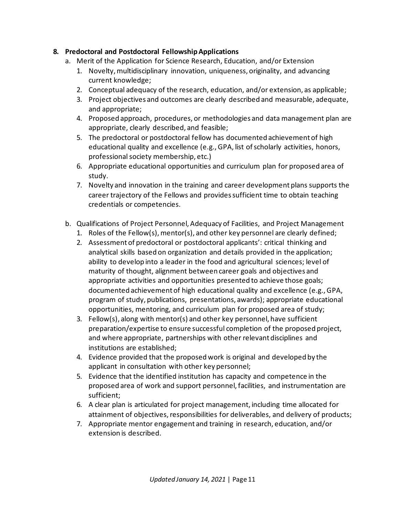#### **8. Predoctoral and Postdoctoral Fellowship Applications**

- a. Merit of the Application for Science Research, Education, and/or Extension
	- 1. Novelty, multidisciplinary innovation, uniqueness, originality, and advancing current knowledge;
	- 2. Conceptual adequacy of the research, education, and/or extension, as applicable;
	- 3. Project objectives and outcomes are clearly described and measurable, adequate, and appropriate;
	- 4. Proposed approach, procedures, or methodologies and data management plan are appropriate, clearly described, and feasible;
	- 5. The predoctoral or postdoctoral fellow has documented achievement of high educational quality and excellence (e.g., GPA, list of scholarly activities, honors, professional society membership, etc.)
	- 6. Appropriate educational opportunities and curriculum plan for proposed area of study.
	- 7. Novelty and innovation in the training and career development plans supports the career trajectory of the Fellows and provides sufficient time to obtain teaching credentials or competencies.
- b. Qualifications of Project Personnel, Adequacy of Facilities, and Project Management
	- 1. Roles of the Fellow(s), mentor(s), and other key personnel are clearly defined;
	- 2. Assessment of predoctoral or postdoctoral applicants': critical thinking and analytical skills based on organization and details provided in the application; ability to develop into a leader in the food and agricultural sciences; level of maturity of thought, alignment between career goals and objectives and appropriate activities and opportunities presented to achieve those goals; documented achievement of high educational quality and excellence (e.g., GPA, program of study, publications, presentations, awards); appropriate educational opportunities, mentoring, and curriculum plan for proposed area of study;
	- 3. Fellow(s), along with mentor(s) and other key personnel, have sufficient preparation/expertise to ensure successful completion of the proposed project, and where appropriate, partnerships with other relevant disciplines and institutions are established;
	- 4. Evidence provided that the proposed work is original and developed by the applicant in consultation with other key personnel;
	- 5. Evidence that the identified institution has capacity and competence in the proposed area of work and support personnel, facilities, and instrumentation are sufficient;
	- 6. A clear plan is articulated for project management, including time allocated for attainment of objectives, responsibilities for deliverables, and delivery of products;
	- 7. Appropriate mentor engagement and training in research, education, and/or extension is described.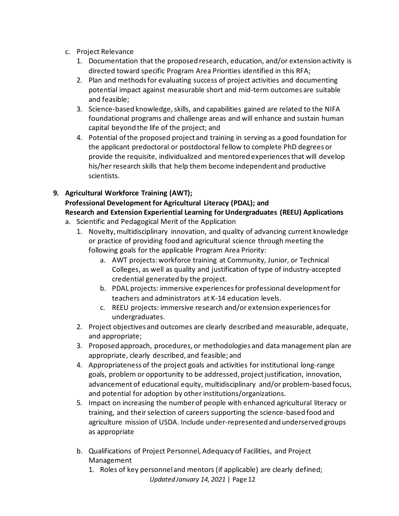- c. Project Relevance
	- 1. Documentation that the proposed research, education, and/or extension activity is directed toward specific Program Area Priorities identified in this RFA;
	- 2. Plan and methods for evaluating success of project activities and documenting potential impact against measurable short and mid-term outcomes are suitable and feasible;
	- 3. Science-based knowledge, skills, and capabilities gained are related to the NIFA foundational programs and challenge areas and will enhance and sustain human capital beyond the life of the project; and
	- 4. Potential of the proposed project and training in serving as a good foundation for the applicant predoctoral or postdoctoral fellow to complete PhD degrees or provide the requisite, individualized and mentored experiences that will develop his/her research skills that help them become independent and productive scientists.

# <span id="page-11-0"></span>**9. Agricultural Workforce Training (AWT);**

# **Professional Development for Agricultural Literacy (PDAL); and Research and Extension Experiential Learning for Undergraduates (REEU) Applications**

- a. Scientific and Pedagogical Merit of the Application
	- 1. Novelty, multidisciplinary innovation, and quality of advancing current knowledge or practice of providing food and agricultural science through meeting the following goals for the applicable Program Area Priority:
		- a. AWT projects: workforce training at Community, Junior, or Technical Colleges, as well as quality and justification of type of industry-accepted credential generated by the project.
		- b. PDAL projects: immersive experiences for professional development for teachers and administrators at K-14 education levels.
		- c. REEU projects: immersive research and/or extension experiences for undergraduates.
	- 2. Project objectives and outcomes are clearly described and measurable, adequate, and appropriate;
	- 3. Proposed approach, procedures, or methodologies and data management plan are appropriate, clearly described, and feasible; and
	- 4. Appropriateness of the project goals and activities for institutional long-range goals, problem or opportunity to be addressed, project justification, innovation, advancement of educational equity, multidisciplinary and/or problem-based focus, and potential for adoption by other institutions/organizations.
	- 5. Impact on increasing the number of people with enhanced agricultural literacy or training, and their selection of careers supporting the science-based food and agriculture mission of USDA. Include under-represented and underserved groups as appropriate
	- b. Qualifications of Project Personnel, Adequacy of Facilities, and Project Management
		- *Updated January 14, 2021* | Page 12 1. Roles of key personnel and mentors (if applicable) are clearly defined;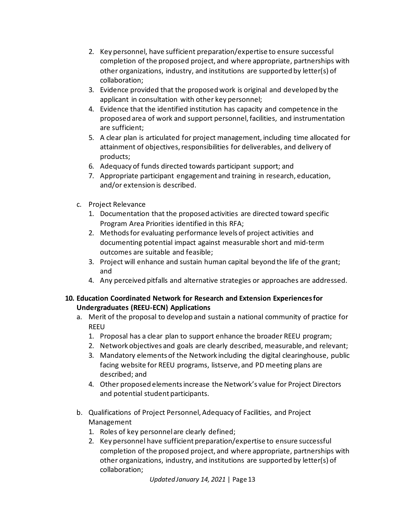- 2. Key personnel, have sufficient preparation/expertise to ensure successful completion of the proposed project, and where appropriate, partnerships with other organizations, industry, and institutions are supported by letter(s) of collaboration;
- 3. Evidence provided that the proposed work is original and developed by the applicant in consultation with other key personnel;
- 4. Evidence that the identified institution has capacity and competence in the proposed area of work and support personnel, facilities, and instrumentation are sufficient;
- 5. A clear plan is articulated for project management, including time allocated for attainment of objectives, responsibilities for deliverables, and delivery of products;
- 6. Adequacy of funds directed towards participant support; and
- 7. Appropriate participant engagement and training in research, education, and/or extension is described.
- c. Project Relevance
	- 1. Documentation that the proposed activities are directed toward specific Program Area Priorities identified in this RFA;
	- 2. Methods for evaluating performance levels of project activities and documenting potential impact against measurable short and mid-term outcomes are suitable and feasible;
	- 3. Project will enhance and sustain human capital beyond the life of the grant; and
	- 4. Any perceived pitfalls and alternative strategies or approaches are addressed.

## <span id="page-12-0"></span>**10. Education Coordinated Network for Research and Extension Experiences for Undergraduates (REEU-ECN) Applications**

- a. Merit of the proposal to develop and sustain a national community of practice for REEU
	- 1. Proposal has a clear plan to support enhance the broader REEU program;
	- 2. Network objectives and goals are clearly described, measurable, and relevant;
	- 3. Mandatory elements of the Network including the digital clearinghouse, public facing website for REEU programs, listserve, and PD meeting plans are described; and
	- 4. Other proposed elementsincrease the Network's value for Project Directors and potential student participants.
- b. Qualifications of Project Personnel, Adequacy of Facilities, and Project Management
	- 1. Roles of key personnel are clearly defined;
	- 2. Key personnel have sufficient preparation/expertise to ensure successful completion of the proposed project, and where appropriate, partnerships with other organizations, industry, and institutions are supported by letter(s) of collaboration;

*Updated January 14, 2021* | Page 13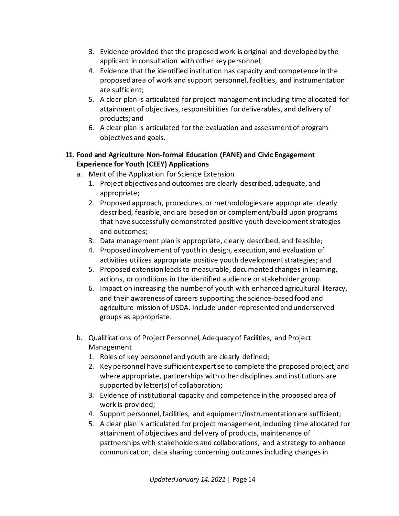- 3. Evidence provided that the proposed work is original and developed by the applicant in consultation with other key personnel;
- 4. Evidence that the identified institution has capacity and competence in the proposed area of work and support personnel, facilities, and instrumentation are sufficient;
- 5. A clear plan is articulated for project management including time allocated for attainment of objectives, responsibilities for deliverables, and delivery of products; and
- 6. A clear plan is articulated for the evaluation and assessment of program objectives and goals.

## <span id="page-13-0"></span>**11. Food and Agriculture Non-formal Education (FANE) and Civic Engagement Experience for Youth (CEEY) Applications**

- a. Merit of the Application for Science Extension
	- 1. Project objectives and outcomes are clearly described, adequate, and appropriate;
	- 2. Proposed approach, procedures, or methodologies are appropriate, clearly described, feasible, and are based on or complement/build upon programs that have successfully demonstrated positive youth development strategies and outcomes;
	- 3. Data management plan is appropriate, clearly described, and feasible;
	- 4. Proposed involvement of youth in design, execution, and evaluation of activities utilizes appropriate positive youth development strategies; and
	- 5. Proposed extension leads to measurable, documented changes in learning, actions, or conditions in the identified audience or stakeholder group.
	- 6. Impact on increasing the number of youth with enhanced agricultural literacy, and their awareness of careers supporting the science-based food and agriculture mission of USDA. Include under-represented and underserved groups as appropriate.
- b. Qualifications of Project Personnel, Adequacy of Facilities, and Project Management
	- 1. Roles of key personnel and youth are clearly defined;
	- 2. Key personnel have sufficient expertise to complete the proposed project, and where appropriate, partnerships with other disciplines and institutions are supported by letter(s) of collaboration;
	- 3. Evidence of institutional capacity and competence in the proposed area of work is provided;
	- 4. Support personnel, facilities, and equipment/instrumentation are sufficient;
	- 5. A clear plan is articulated for project management, including time allocated for attainment of objectives and delivery of products, maintenance of partnerships with stakeholders and collaborations, and a strategy to enhance communication, data sharing concerning outcomes including changes in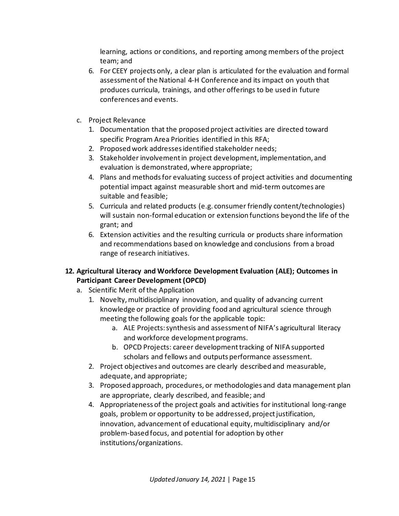learning, actions or conditions, and reporting among members of the project team; and

- 6. For CEEY projects only, a clear plan is articulated for the evaluation and formal assessment of the National 4-H Conference and its impact on youth that produces curricula, trainings, and other offerings to be used in future conferences and events.
- c. Project Relevance
	- 1. Documentation that the proposed project activities are directed toward specific Program Area Priorities identified in this RFA;
	- 2. Proposed work addresses identified stakeholder needs;
	- 3. Stakeholder involvement in project development, implementation, and evaluation is demonstrated, where appropriate;
	- 4. Plans and methods for evaluating success of project activities and documenting potential impact against measurable short and mid-term outcomes are suitable and feasible;
	- 5. Curricula and related products (e.g. consumer friendly content/technologies) will sustain non-formal education or extension functions beyond the life of the grant; and
	- 6. Extension activities and the resulting curricula or products share information and recommendations based on knowledge and conclusions from a broad range of research initiatives.

# **12. Agricultural Literacy and Workforce Development Evaluation (ALE); Outcomes in Participant Career Development (OPCD)**

- <span id="page-14-0"></span>a. Scientific Merit of the Application
	- 1. Novelty, multidisciplinary innovation, and quality of advancing current knowledge or practice of providing food and agricultural science through meeting the following goals for the applicable topic:
		- a. ALE Projects: synthesis and assessment of NIFA's agricultural literacy and workforce development programs.
		- b. OPCD Projects: career development tracking of NIFA supported scholars and fellows and outputs performance assessment.
	- 2. Project objectives and outcomes are clearly described and measurable, adequate, and appropriate;
	- 3. Proposed approach, procedures, or methodologies and data management plan are appropriate, clearly described, and feasible; and
	- 4. Appropriateness of the project goals and activities for institutional long-range goals, problem or opportunity to be addressed, project justification, innovation, advancement of educational equity, multidisciplinary and/or problem-based focus, and potential for adoption by other institutions/organizations.